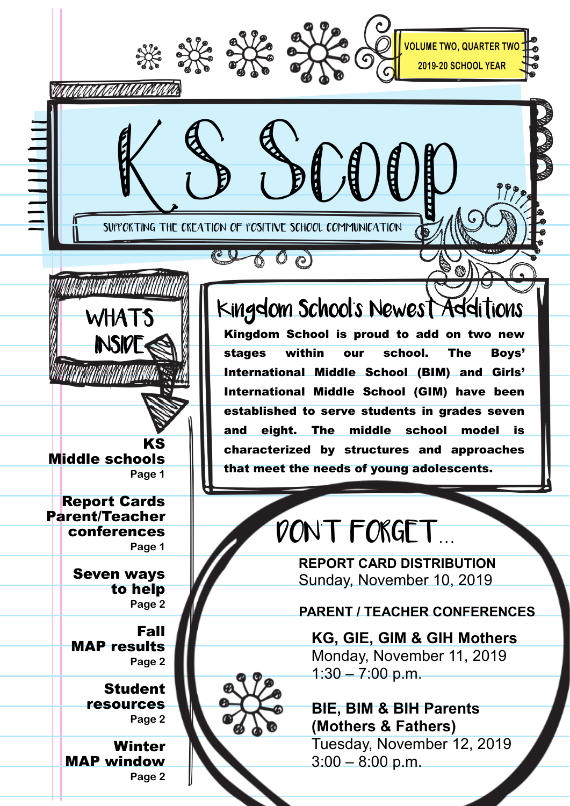